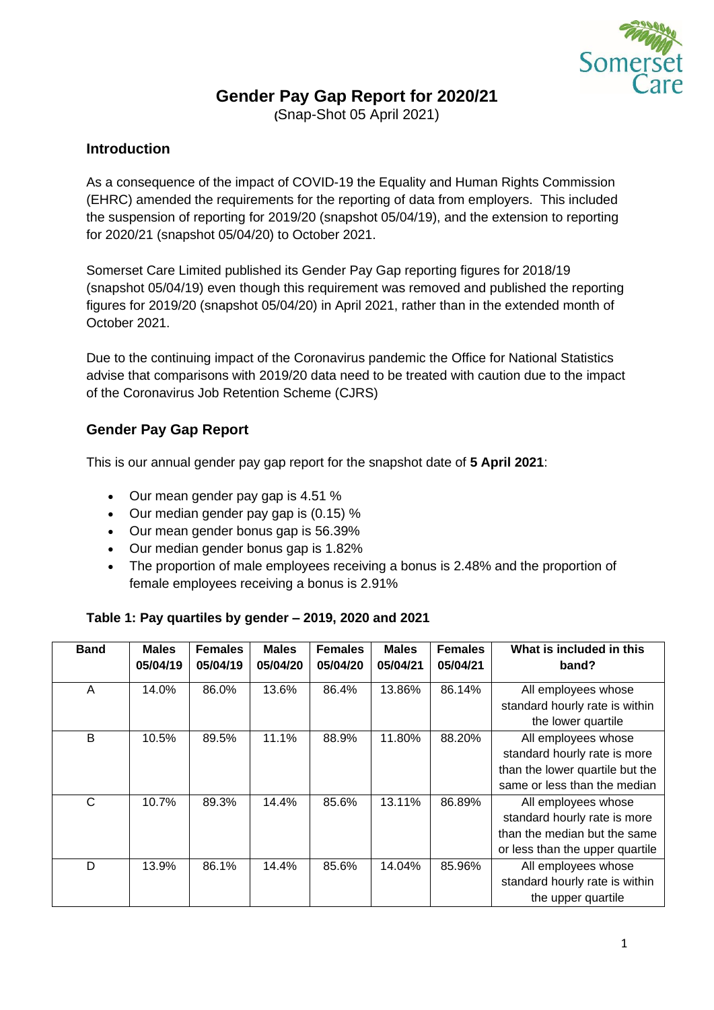

# **Gender Pay Gap Report for 2020/21**

**(**Snap-Shot 05 April 2021)

## **Introduction**

As a consequence of the impact of COVID-19 the Equality and Human Rights Commission (EHRC) amended the requirements for the reporting of data from employers. This included the suspension of reporting for 2019/20 (snapshot 05/04/19), and the extension to reporting for 2020/21 (snapshot 05/04/20) to October 2021.

Somerset Care Limited published its Gender Pay Gap reporting figures for 2018/19 (snapshot 05/04/19) even though this requirement was removed and published the reporting figures for 2019/20 (snapshot 05/04/20) in April 2021, rather than in the extended month of October 2021.

Due to the continuing impact of the Coronavirus pandemic the Office for National Statistics advise that comparisons with 2019/20 data need to be treated with caution due to the impact of the Coronavirus Job Retention Scheme (CJRS)

# **Gender Pay Gap Report**

This is our annual gender pay gap report for the snapshot date of **5 April 2021**:

- Our mean gender pay gap is 4.51 %
- Our median gender pay gap is (0.15) %
- Our mean gender bonus gap is 56.39%
- Our median gender bonus gap is 1.82%
- The proportion of male employees receiving a bonus is 2.48% and the proportion of female employees receiving a bonus is 2.91%

#### **Table 1: Pay quartiles by gender – 2019, 2020 and 2021**

| <b>Band</b> | <b>Males</b><br>05/04/19 | <b>Females</b><br>05/04/19 | <b>Males</b><br>05/04/20 | <b>Females</b><br>05/04/20 | <b>Males</b><br>05/04/21 | <b>Females</b><br>05/04/21 | What is included in this<br>band?                     |
|-------------|--------------------------|----------------------------|--------------------------|----------------------------|--------------------------|----------------------------|-------------------------------------------------------|
| A           | 14.0%                    | 86.0%                      | 13.6%                    | 86.4%                      | 13.86%                   | 86.14%                     | All employees whose<br>standard hourly rate is within |
|             |                          |                            |                          |                            |                          |                            | the lower quartile                                    |
| B           | 10.5%                    | 89.5%                      | 11.1%                    | 88.9%                      | 11.80%                   | 88.20%                     | All employees whose                                   |
|             |                          |                            |                          |                            |                          |                            | standard hourly rate is more                          |
|             |                          |                            |                          |                            |                          |                            | than the lower quartile but the                       |
|             |                          |                            |                          |                            |                          |                            | same or less than the median                          |
| C           | 10.7%                    | 89.3%                      | 14.4%                    | 85.6%                      | 13.11%                   | 86.89%                     | All employees whose                                   |
|             |                          |                            |                          |                            |                          |                            | standard hourly rate is more                          |
|             |                          |                            |                          |                            |                          |                            | than the median but the same                          |
|             |                          |                            |                          |                            |                          |                            | or less than the upper quartile                       |
| D           | 13.9%                    | 86.1%                      | 14.4%                    | 85.6%                      | 14.04%                   | 85.96%                     | All employees whose                                   |
|             |                          |                            |                          |                            |                          |                            | standard hourly rate is within                        |
|             |                          |                            |                          |                            |                          |                            | the upper quartile                                    |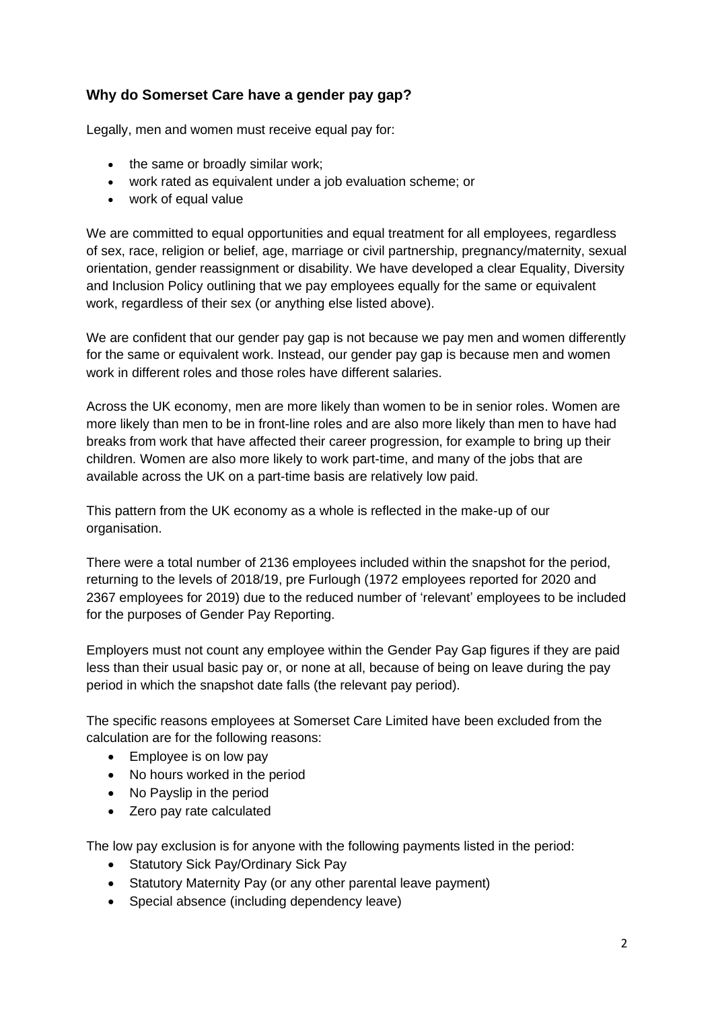# **Why do Somerset Care have a gender pay gap?**

Legally, men and women must receive equal pay for:

- the same or broadly similar work;
- work rated as equivalent under a job evaluation scheme; or
- work of equal value

We are committed to equal opportunities and equal treatment for all employees, regardless of sex, race, religion or belief, age, marriage or civil partnership, pregnancy/maternity, sexual orientation, gender reassignment or disability. We have developed a clear Equality, Diversity and Inclusion Policy outlining that we pay employees equally for the same or equivalent work, regardless of their sex (or anything else listed above).

We are confident that our gender pay gap is not because we pay men and women differently for the same or equivalent work. Instead, our gender pay gap is because men and women work in different roles and those roles have different salaries.

Across the UK economy, men are more likely than women to be in senior roles. Women are more likely than men to be in front-line roles and are also more likely than men to have had breaks from work that have affected their career progression, for example to bring up their children. Women are also more likely to work part-time, and many of the jobs that are available across the UK on a part-time basis are relatively low paid.

This pattern from the UK economy as a whole is reflected in the make-up of our organisation.

There were a total number of 2136 employees included within the snapshot for the period, returning to the levels of 2018/19, pre Furlough (1972 employees reported for 2020 and 2367 employees for 2019) due to the reduced number of 'relevant' employees to be included for the purposes of Gender Pay Reporting.

Employers must not count any employee within the Gender Pay Gap figures if they are paid less than their usual basic pay or, or none at all, because of being on leave during the pay period in which the snapshot date falls (the relevant pay period).

The specific reasons employees at Somerset Care Limited have been excluded from the calculation are for the following reasons:

- Employee is on low pay
- No hours worked in the period
- No Payslip in the period
- Zero pay rate calculated

The low pay exclusion is for anyone with the following payments listed in the period:

- Statutory Sick Pay/Ordinary Sick Pay
- Statutory Maternity Pay (or any other parental leave payment)
- Special absence (including dependency leave)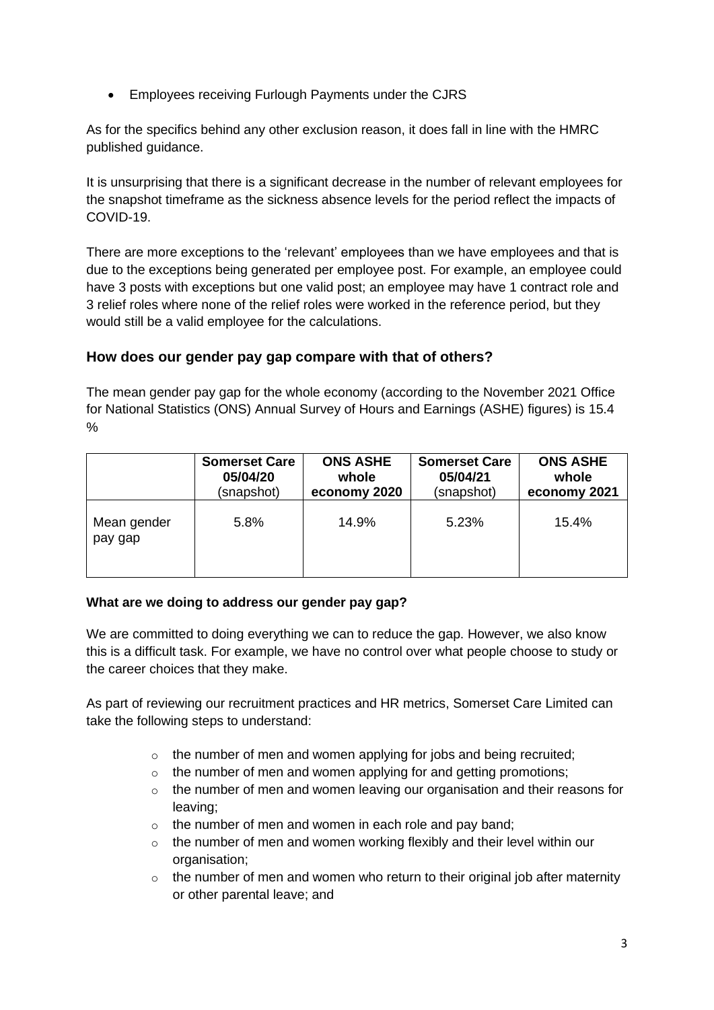• Employees receiving Furlough Payments under the CJRS

As for the specifics behind any other exclusion reason, it does fall in line with the HMRC published guidance.

It is unsurprising that there is a significant decrease in the number of relevant employees for the snapshot timeframe as the sickness absence levels for the period reflect the impacts of COVID-19.

There are more exceptions to the 'relevant' employees than we have employees and that is due to the exceptions being generated per employee post. For example, an employee could have 3 posts with exceptions but one valid post; an employee may have 1 contract role and 3 relief roles where none of the relief roles were worked in the reference period, but they would still be a valid employee for the calculations.

# **How does our gender pay gap compare with that of others?**

The mean gender pay gap for the whole economy (according to the November 2021 Office for National Statistics (ONS) Annual Survey of Hours and Earnings (ASHE) figures) is 15.4  $\frac{0}{0}$ 

|                        | <b>Somerset Care</b> | <b>ONS ASHE</b> | <b>Somerset Care</b> | <b>ONS ASHE</b> |
|------------------------|----------------------|-----------------|----------------------|-----------------|
|                        | 05/04/20             | whole           | 05/04/21             | whole           |
|                        | (snapshot)           | economy 2020    | (snapshot)           | economy 2021    |
| Mean gender<br>pay gap | 5.8%                 | 14.9%           | 5.23%                | 15.4%           |

### **What are we doing to address our gender pay gap?**

We are committed to doing everything we can to reduce the gap. However, we also know this is a difficult task. For example, we have no control over what people choose to study or the career choices that they make.

As part of reviewing our recruitment practices and HR metrics, Somerset Care Limited can take the following steps to understand:

- $\circ$  the number of men and women applying for jobs and being recruited;
- $\circ$  the number of men and women applying for and getting promotions;
- $\circ$  the number of men and women leaving our organisation and their reasons for leaving;
- $\circ$  the number of men and women in each role and pay band;
- o the number of men and women working flexibly and their level within our organisation;
- o the number of men and women who return to their original job after maternity or other parental leave; and